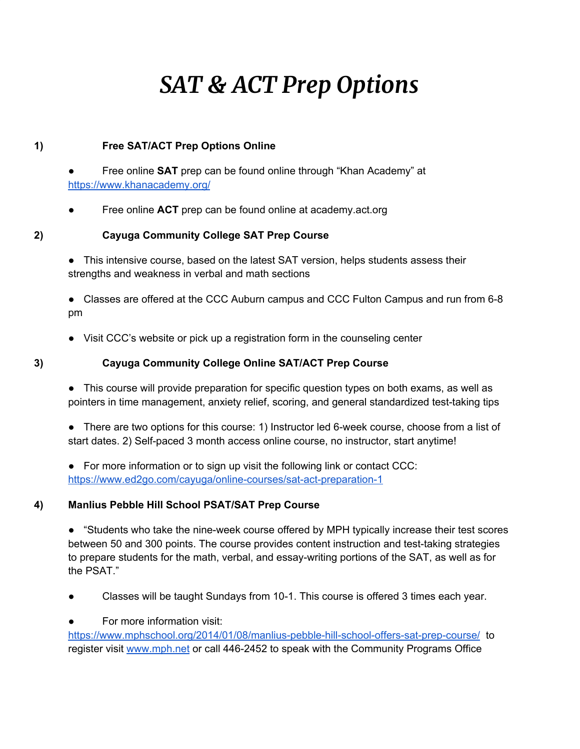# *SAT & ACT Prep Options*

## **1) Free SAT/ACT Prep Options Online**

- Free online **SAT** prep can be found online [t](https://www.khanacademy.org/)hrough "Khan Academy" at <https://www.khanacademy.org/>
- Free online **ACT** prep can be found online at academy.act.org

## **2) Cayuga Community College SAT Prep Course**

● This intensive course, based on the latest SAT version, helps students assess their strengths and weakness in verbal and math sections

● Classes are offered at the CCC Auburn campus and CCC Fulton Campus and run from 6-8 pm

- Visit CCC's website or pick up a registration form in the counseling center
- 

## **3) Cayuga Community College Online SAT/ACT Prep Course**

• This course will provide preparation for specific question types on both exams, as well as pointers in time management, anxiety relief, scoring, and general standardized test-taking tips

● There are two options for this course: 1) Instructor led 6-week course, choose from a list of start dates. 2) Self-paced 3 month access online course, no instructor, start anytime!

● For more information or to sign up visit the following link or contact CCC: <https://www.ed2go.com/cayuga/online-courses/sat-act-preparation-1>

## **4) Manlius Pebble Hill School PSAT/SAT Prep Course**

● "Students who take the nine-week course offered by MPH typically increase their test scores between 50 and 300 points. The course provides content instruction and test-taking strategies to prepare students for the math, verbal, and essay-writing portions of the SAT, as well as for the PSAT."

- Classes will be taught Sundays from 10-1. This course is offered 3 times each year.
- For more information visit[:](https://www.mphschool.org/2014/01/08/manlius-pebble-hill-school-offers-sat-prep-course/)

<https://www.mphschool.org/2014/01/08/manlius-pebble-hill-school-offers-sat-prep-course/> to register visi[t](http://www.mph.net/) [www.mph.net](http://www.mph.net/) or call 446-2452 to speak with the Community Programs Office